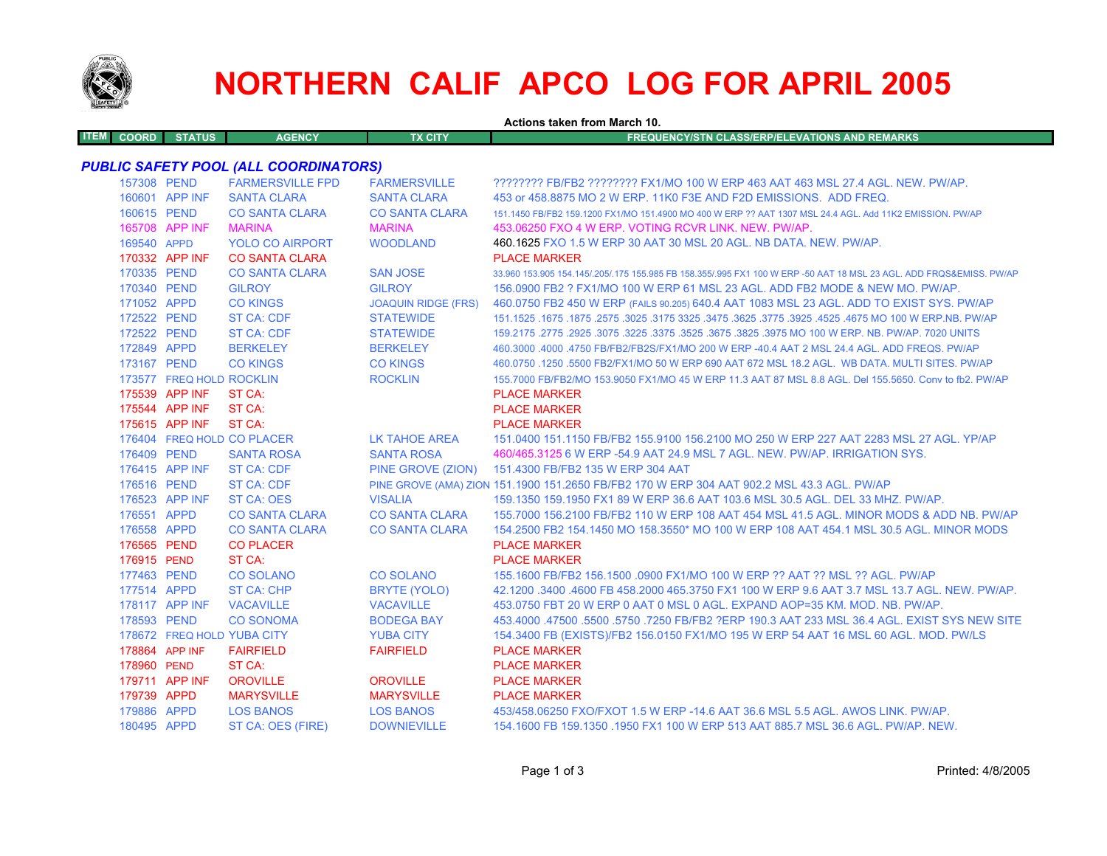

## **NORTHERN CALIF APCO LOG FOR APRIL 2005**

|                             |                            |                                              |                            | Actions taken from March 10.                                                                                        |
|-----------------------------|----------------------------|----------------------------------------------|----------------------------|---------------------------------------------------------------------------------------------------------------------|
| <b>ITEM</b><br><b>COORD</b> | <b>STATUS</b>              | <b>AGENCY</b>                                | <b>TX CITY</b>             | <b>FREQUENCY/STN CLASS/ERP/ELEVATIONS AND REMARKS</b>                                                               |
|                             |                            | <b>PUBLIC SAFETY POOL (ALL COORDINATORS)</b> |                            |                                                                                                                     |
|                             | 157308 PEND                | <b>FARMERSVILLE FPD</b>                      | <b>FARMERSVILLE</b>        | ???????? FB/FB2 ???????? FX1/MO 100 W ERP 463 AAT 463 MSL 27.4 AGL. NEW. PW/AP.                                     |
|                             | 160601 APP INF             | <b>SANTA CLARA</b>                           | <b>SANTA CLARA</b>         | 453 or 458,8875 MO 2 W ERP, 11K0 F3E AND F2D EMISSIONS. ADD FREQ.                                                   |
|                             | 160615 PEND                | <b>CO SANTA CLARA</b>                        | <b>CO SANTA CLARA</b>      | 151.1450 FB/FB2 159.1200 FX1/MO 151.4900 MO 400 W ERP ?? AAT 1307 MSL 24.4 AGL, Add 11K2 EMISSION, PW/AP            |
|                             | 165708 APP INF             | <b>MARINA</b>                                | <b>MARINA</b>              | 453,06250 FXO 4 W ERP, VOTING RCVR LINK, NEW, PW/AP,                                                                |
|                             | 169540 APPD                | <b>YOLO CO AIRPORT</b>                       | <b>WOODLAND</b>            | 460.1625 FXO 1.5 W ERP 30 AAT 30 MSL 20 AGL. NB DATA. NEW. PW/AP.                                                   |
|                             | 170332 APP INF             | <b>CO SANTA CLARA</b>                        |                            | <b>PLACE MARKER</b>                                                                                                 |
|                             | 170335 PEND                | <b>CO SANTA CLARA</b>                        | <b>SAN JOSE</b>            | 33,960 153,905 154,145/.205/.175 155,985 FB 158,355/.995 FX1 100 W ERP -50 AAT 18 MSL 23 AGL. ADD FRQS&EMISS, PW/AP |
|                             | 170340 PEND                | <b>GILROY</b>                                | <b>GILROY</b>              | 156.0900 FB2 ? FX1/MO 100 W ERP 61 MSL 23 AGL. ADD FB2 MODE & NEW MO. PW/AP.                                        |
|                             | 171052 APPD                | <b>CO KINGS</b>                              | <b>JOAQUIN RIDGE (FRS)</b> | 460.0750 FB2 450 W ERP (FAILS 90.205) 640.4 AAT 1083 MSL 23 AGL. ADD TO EXIST SYS. PW/AP                            |
|                             | 172522 PEND                | ST CA: CDF                                   | <b>STATEWIDE</b>           | 1675.1675.1675 NO 100 W ERP.NB. PW/AP 325. 3475 325. 3475 325. 3475 3275 3275. 3675. 1675 1675. 1675 1671.1525      |
|                             | 172522 PEND                | ST CA: CDF                                   | <b>STATEWIDE</b>           | 159.2175 .2775 .2925 .3075 .3225 .3375 .3525 .3675 .3825 .3975 MO 100 W ERP. NB. PW/AP. 7020 UNITS                  |
|                             | 172849 APPD                | <b>BERKELEY</b>                              | <b>BERKELEY</b>            | 460.3000 .4000 .4750 FB/FB2/FB2S/FX1/MO 200 W ERP -40.4 AAT 2 MSL 24.4 AGL. ADD FREQS. PW/AP                        |
|                             | 173167 PEND                | <b>CO KINGS</b>                              | <b>CO KINGS</b>            | 460.0750 .1250 .5500 FB2/FX1/MO 50 W ERP 690 AAT 672 MSL 18.2 AGL. WB DATA, MULTI SITES, PW/AP                      |
|                             | 173577 FREQ HOLD ROCKLIN   |                                              | <b>ROCKLIN</b>             | 155,7000 FB/FB2/MO 153,9050 FX1/MO 45 W ERP 11.3 AAT 87 MSL 8.8 AGL, Del 155,5650, Conv to fb2, PW/AP               |
|                             | 175539 APP INF             | ST CA:                                       |                            | <b>PLACE MARKER</b>                                                                                                 |
|                             | 175544 APP INF             | ST CA:                                       |                            | <b>PLACE MARKER</b>                                                                                                 |
|                             | 175615 APP INF             | ST CA:                                       |                            | <b>PLACE MARKER</b>                                                                                                 |
|                             | 176404 FREQ HOLD CO PLACER |                                              | LK TAHOE AREA              | 151.0400 151.1150 FB/FB2 155.9100 156.2100 MO 250 W ERP 227 AAT 2283 MSL 27 AGL. YP/AP                              |
|                             | 176409 PEND                | <b>SANTA ROSA</b>                            | <b>SANTA ROSA</b>          | 460/465.3125 6 W ERP -54.9 AAT 24.9 MSL 7 AGL. NEW. PW/AP. IRRIGATION SYS.                                          |
|                             | 176415 APP INF             | <b>ST CA: CDF</b>                            | PINE GROVE (ZION)          | 151.4300 FB/FB2 135 W ERP 304 AAT                                                                                   |
|                             | 176516 PEND                | <b>ST CA: CDF</b>                            |                            | PINE GROVE (AMA) ZION 151.1900 151.2650 FB/FB2 170 W ERP 304 AAT 902.2 MSL 43.3 AGL. PW/AP                          |
|                             | 176523 APP INF             | <b>ST CA: OES</b>                            | <b>VISALIA</b>             | 159.1350 159.1950 FX1 89 W ERP 36.6 AAT 103.6 MSL 30.5 AGL, DEL 33 MHZ, PW/AP,                                      |
|                             | 176551 APPD                | <b>CO SANTA CLARA</b>                        | <b>CO SANTA CLARA</b>      | 155,7000 156,2100 FB/FB2 110 W ERP 108 AAT 454 MSL 41.5 AGL, MINOR MODS & ADD NB, PW/AP                             |
|                             | 176558 APPD                | <b>CO SANTA CLARA</b>                        | <b>CO SANTA CLARA</b>      | 154.2500 FB2 154.1450 MO 158.3550* MO 100 W ERP 108 AAT 454.1 MSL 30.5 AGL. MINOR MODS                              |
|                             | 176565 PEND                | <b>CO PLACER</b>                             |                            | <b>PLACE MARKER</b>                                                                                                 |
|                             | 176915 PEND                | ST CA:                                       |                            | <b>PLACE MARKER</b>                                                                                                 |
|                             | 177463 PEND                | <b>CO SOLANO</b>                             | <b>CO SOLANO</b>           | 155.1600 FB/FB2 156.1500 .0900 FX1/MO 100 W ERP ?? AAT ?? MSL ?? AGL. PW/AP                                         |
|                             | 177514 APPD                | <b>ST CA: CHP</b>                            | <b>BRYTE (YOLO)</b>        | 42.1200 .3400 .4600 FB 458.2000 465.3750 FX1 100 W ERP 9.6 AAT 3.7 MSL 13.7 AGL. NEW. PW/AP.                        |
|                             | 178117 APP INF             | <b>VACAVILLE</b>                             | <b>VACAVILLE</b>           | 453.0750 FBT 20 W ERP 0 AAT 0 MSL 0 AGL. EXPAND AOP=35 KM, MOD, NB, PW/AP.                                          |
|                             | 178593 PEND                | <b>CO SONOMA</b>                             | <b>BODEGA BAY</b>          | 453,4000 .47500 .5500 .5750 .7250 FB/FB2 ?ERP 190.3 AAT 233 MSL 36.4 AGL. EXIST SYS NEW SITE                        |
|                             | 178672 FREQ HOLD YUBA CITY |                                              | <b>YUBA CITY</b>           | 154.3400 FB (EXISTS)/FB2 156.0150 FX1/MO 195 W ERP 54 AAT 16 MSL 60 AGL. MOD. PW/LS                                 |
|                             | 178864 APP INF             | <b>FAIRFIELD</b>                             | <b>FAIRFIELD</b>           | <b>PLACE MARKER</b>                                                                                                 |
|                             | 178960 PEND                | ST CA:                                       |                            | <b>PLACE MARKER</b>                                                                                                 |
|                             | 179711 APP INF             | <b>OROVILLE</b>                              | <b>OROVILLE</b>            | <b>PLACE MARKER</b>                                                                                                 |
|                             | 179739 APPD                | <b>MARYSVILLE</b>                            | <b>MARYSVILLE</b>          | <b>PLACE MARKER</b>                                                                                                 |
|                             | 179886 APPD                | <b>LOS BANOS</b>                             | <b>LOS BANOS</b>           | 453/458.06250 FXO/FXOT 1.5 W ERP -14.6 AAT 36.6 MSL 5.5 AGL, AWOS LINK, PW/AP,                                      |
|                             | 180495 APPD                | ST CA: OES (FIRE)                            | <b>DOWNIEVILLE</b>         | 154.1600 FB 159.1350 .1950 FX1 100 W ERP 513 AAT 885.7 MSL 36.6 AGL. PW/AP. NEW.                                    |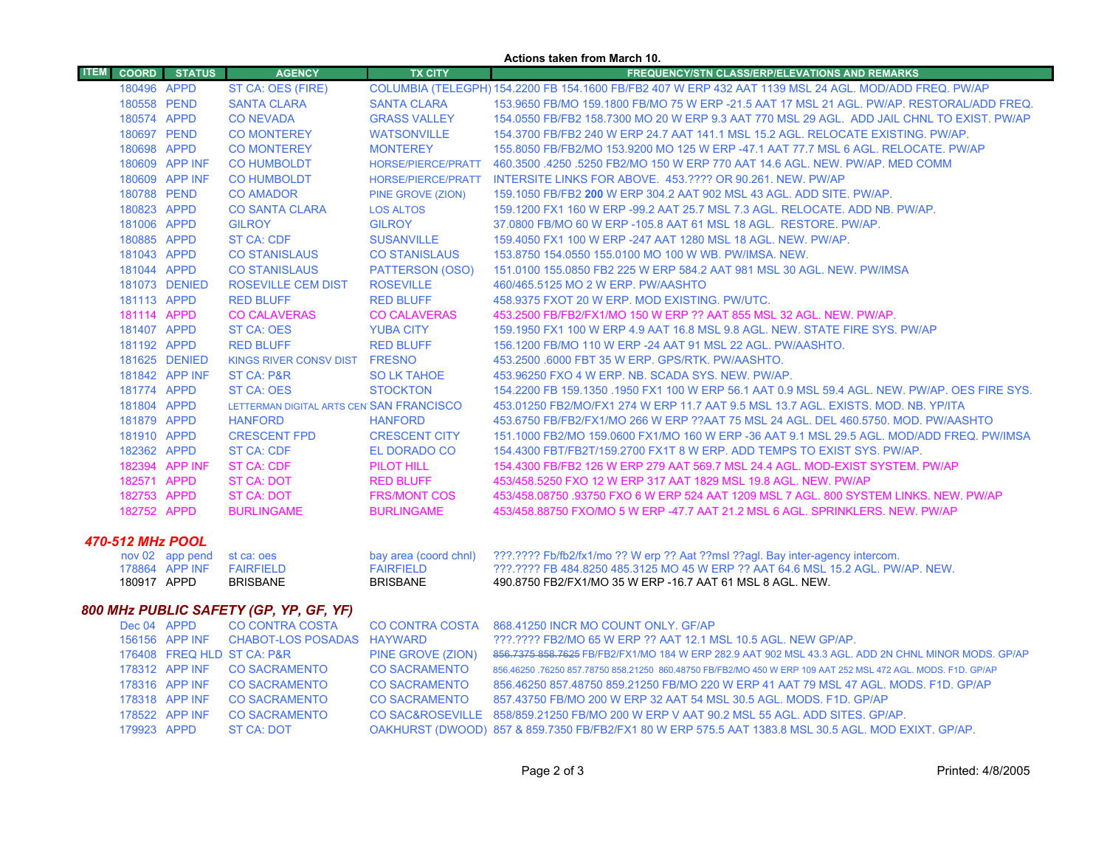|                  |                                        |                 |                                          |                           | Actions taken from March 10.                                                                                 |  |  |
|------------------|----------------------------------------|-----------------|------------------------------------------|---------------------------|--------------------------------------------------------------------------------------------------------------|--|--|
| <b>ITEM</b>      | <b>COORD</b>                           | <b>STATUS</b>   | <b>AGENCY</b>                            | <b>TX CITY</b>            | <b>FREQUENCY/STN CLASS/ERP/ELEVATIONS AND REMARKS</b>                                                        |  |  |
|                  | 180496 APPD                            |                 | ST CA: OES (FIRE)                        |                           | COLUMBIA (TELEGPH) 154.2200 FB 154.1600 FB/FB2 407 W ERP 432 AAT 1139 MSL 24 AGL. MOD/ADD FREQ. PW/AP        |  |  |
|                  | 180558 PEND                            |                 | <b>SANTA CLARA</b>                       | <b>SANTA CLARA</b>        | 153.9650 FB/MO 159.1800 FB/MO 75 W ERP -21.5 AAT 17 MSL 21 AGL. PW/AP. RESTORAL/ADD FREQ.                    |  |  |
|                  | 180574 APPD                            |                 | <b>CONEVADA</b>                          | <b>GRASS VALLEY</b>       | 154.0550 FB/FB2 158.7300 MO 20 W ERP 9.3 AAT 770 MSL 29 AGL. ADD JAIL CHNL TO EXIST. PW/AP                   |  |  |
|                  | 180697 PEND                            |                 | <b>CO MONTEREY</b>                       | <b>WATSONVILLE</b>        | 154.3700 FB/FB2 240 W ERP 24.7 AAT 141.1 MSL 15.2 AGL. RELOCATE EXISTING. PW/AP.                             |  |  |
|                  | 180698 APPD                            |                 | <b>CO MONTEREY</b>                       | <b>MONTEREY</b>           | 155.8050 FB/FB2/MO 153.9200 MO 125 W ERP -47.1 AAT 77.7 MSL 6 AGL. RELOCATE. PW/AP                           |  |  |
|                  |                                        | 180609 APP INF  | <b>CO HUMBOLDT</b>                       | HORSE/PIERCE/PRATT        | 460.3500 .4250 .5250 FB2/MO 150 W ERP 770 AAT 14.6 AGL. NEW. PW/AP. MED COMM                                 |  |  |
|                  |                                        | 180609 APP INF  | <b>CO HUMBOLDT</b>                       | <b>HORSE/PIERCE/PRATT</b> | INTERSITE LINKS FOR ABOVE. 453.???? OR 90.261. NEW. PW/AP                                                    |  |  |
|                  | 180788 PEND                            |                 | <b>CO AMADOR</b>                         | PINE GROVE (ZION)         | 159.1050 FB/FB2 200 W ERP 304.2 AAT 902 MSL 43 AGL. ADD SITE. PW/AP.                                         |  |  |
|                  | 180823 APPD                            |                 | <b>CO SANTA CLARA</b>                    | <b>LOS ALTOS</b>          | 159.1200 FX1 160 W ERP -99.2 AAT 25.7 MSL 7.3 AGL. RELOCATE. ADD NB. PW/AP.                                  |  |  |
|                  | 181006 APPD                            |                 | <b>GILROY</b>                            | <b>GILROY</b>             | 37.0800 FB/MO 60 W ERP -105.8 AAT 61 MSL 18 AGL. RESTORE. PW/AP.                                             |  |  |
|                  | 180885 APPD                            |                 | ST CA: CDF                               | <b>SUSANVILLE</b>         | 159,4050 FX1 100 W ERP -247 AAT 1280 MSL 18 AGL, NEW, PW/AP.                                                 |  |  |
|                  | 181043 APPD                            |                 | <b>CO STANISLAUS</b>                     | <b>CO STANISLAUS</b>      | 153.8750 154.0550 155.0100 MO 100 W WB. PW/IMSA. NEW.                                                        |  |  |
|                  | 181044 APPD                            |                 | <b>CO STANISLAUS</b>                     | PATTERSON (OSO)           | 151,0100 155,0850 FB2 225 W ERP 584.2 AAT 981 MSL 30 AGL, NEW, PW/IMSA                                       |  |  |
|                  |                                        | 181073 DENIED   | <b>ROSEVILLE CEM DIST</b>                | <b>ROSEVILLE</b>          | 460/465.5125 MO 2 W ERP. PW/AASHTO                                                                           |  |  |
|                  | 181113 APPD                            |                 | <b>RED BLUFF</b>                         | <b>RED BLUFF</b>          | 458.9375 FXOT 20 W ERP. MOD EXISTING. PW/UTC.                                                                |  |  |
|                  | 181114 APPD                            |                 | <b>CO CALAVERAS</b>                      | <b>CO CALAVERAS</b>       | 453.2500 FB/FB2/FX1/MO 150 W ERP ?? AAT 855 MSL 32 AGL. NEW. PW/AP.                                          |  |  |
|                  | 181407 APPD                            |                 | <b>ST CA: OES</b>                        | <b>YUBA CITY</b>          | 159.1950 FX1 100 W ERP 4.9 AAT 16.8 MSL 9.8 AGL. NEW. STATE FIRE SYS. PW/AP                                  |  |  |
|                  | 181192 APPD                            |                 | <b>RED BLUFF</b>                         | <b>RED BLUFF</b>          | 156.1200 FB/MO 110 W ERP -24 AAT 91 MSL 22 AGL, PW/AASHTO.                                                   |  |  |
|                  |                                        | 181625 DENIED   | KINGS RIVER CONSV DIST FRESNO            |                           | 453.2500 .6000 FBT 35 W ERP. GPS/RTK. PW/AASHTO.                                                             |  |  |
|                  |                                        | 181842 APP INF  | ST CA: P&R                               | <b>SO LK TAHOE</b>        | 453.96250 FXO 4 W ERP. NB. SCADA SYS. NEW. PW/AP.                                                            |  |  |
|                  | 181774 APPD                            |                 | ST CA: OES                               | <b>STOCKTON</b>           | 154.2200 FB 159.1350 .1950 FX1 100 W ERP 56.1 AAT 0.9 MSL 59.4 AGL. NEW. PW/AP. OES FIRE SYS.                |  |  |
|                  | 181804 APPD                            |                 | LETTERMAN DIGITAL ARTS CEN SAN FRANCISCO |                           | 453.01250 FB2/MO/FX1 274 W ERP 11.7 AAT 9.5 MSL 13.7 AGL. EXISTS. MOD. NB. YP/ITA                            |  |  |
|                  | 181879 APPD                            |                 | <b>HANFORD</b>                           | <b>HANFORD</b>            | 453.6750 FB/FB2/FX1/MO 266 W ERP ??AAT 75 MSL 24 AGL. DEL 460.5750. MOD. PW/AASHTO                           |  |  |
|                  | 181910 APPD                            |                 | <b>CRESCENT FPD</b>                      | <b>CRESCENT CITY</b>      | 151.1000 FB2/MO 159.0600 FX1/MO 160 W ERP -36 AAT 9.1 MSL 29.5 AGL. MOD/ADD FREQ. PW/IMSA                    |  |  |
|                  | 182362 APPD                            |                 | <b>ST CA: CDF</b>                        | EL DORADO CO              | 154,4300 FBT/FB2T/159,2700 FX1T 8 W ERP, ADD TEMPS TO EXIST SYS, PW/AP,                                      |  |  |
|                  |                                        | 182394 APP INF  | <b>ST CA: CDF</b>                        | <b>PILOT HILL</b>         | 154.4300 FB/FB2 126 W ERP 279 AAT 569.7 MSL 24.4 AGL. MOD-EXIST SYSTEM. PW/AP                                |  |  |
|                  | 182571 APPD                            |                 | ST CA: DOT                               | <b>RED BLUFF</b>          | 453/458.5250 FXO 12 W ERP 317 AAT 1829 MSL 19.8 AGL. NEW. PW/AP                                              |  |  |
|                  | 182753 APPD                            |                 | <b>ST CA: DOT</b>                        | <b>FRS/MONT COS</b>       | 453/458.08750 .93750 FXO 6 W ERP 524 AAT 1209 MSL 7 AGL. 800 SYSTEM LINKS. NEW. PW/AP                        |  |  |
|                  | 182752 APPD                            |                 | <b>BURLINGAME</b>                        | <b>BURLINGAME</b>         | 453/458.88750 FXO/MO 5 W ERP -47.7 AAT 21.2 MSL 6 AGL. SPRINKLERS, NEW, PW/AP                                |  |  |
| 470-512 MHz POOL |                                        |                 |                                          |                           |                                                                                                              |  |  |
|                  |                                        | nov 02 app pend | st ca: oes                               | bay area (coord chnl)     | ???.???? Fb/fb2/fx1/mo ?? W erp ?? Aat ??msl ??agl. Bay inter-agency intercom.                               |  |  |
|                  |                                        | 178864 APP INF  | <b>FAIRFIELD</b>                         | <b>FAIRFIELD</b>          | ???.???? FB 484.8250 485.3125 MO 45 W ERP ?? AAT 64.6 MSL 15.2 AGL, PW/AP, NEW.                              |  |  |
|                  | 180917 APPD                            |                 | <b>BRISBANE</b>                          | <b>BRISBANE</b>           | 490.8750 FB2/FX1/MO 35 W ERP -16.7 AAT 61 MSL 8 AGL. NEW.                                                    |  |  |
|                  | 800 MHz PUBLIC SAFETY (GP, YP, GF, YF) |                 |                                          |                           |                                                                                                              |  |  |
|                  | Dec 04 APPD                            |                 | <b>CO CONTRA COSTA</b>                   | <b>CO CONTRA COSTA</b>    | 868.41250 INCR MO COUNT ONLY. GF/AP                                                                          |  |  |
|                  |                                        | 156156 APP INF  | CHABOT-LOS POSADAS HAYWARD               |                           | ???.???? FB2/MO 65 W ERP ?? AAT 12.1 MSL 10.5 AGL. NEW GP/AP.                                                |  |  |
|                  |                                        |                 | 176408 FREQ HLD ST CA: P&R               | PINE GROVE (ZION)         | 856.7375 858.7625 FB/FB2/FX1/MO 184 W ERP 282.9 AAT 902 MSL 43.3 AGL. ADD 2N CHNL MINOR MODS. GP/AP          |  |  |
|                  |                                        | 178312 APP INF  | <b>CO SACRAMENTO</b>                     | <b>CO SACRAMENTO</b>      | 856.46250 .76250 857.78750 858.21250 860.48750 FB/FB2/MO 450 W ERP 109 AAT 252 MSL 472 AGL. MODS. F1D. GP/AP |  |  |
|                  |                                        | 178316 APP INF  | <b>CO SACRAMENTO</b>                     | <b>CO SACRAMENTO</b>      | 856.46250 857.48750 859.21250 FB/MO 220 W ERP 41 AAT 79 MSL 47 AGL, MODS, F1D, GP/AP                         |  |  |
|                  |                                        | 178318 APP INF  | <b>CO SACRAMENTO</b>                     | <b>CO SACRAMENTO</b>      | 857.43750 FB/MO 200 W ERP 32 AAT 54 MSL 30.5 AGL. MODS. F1D. GP/AP                                           |  |  |

APP INF CO SACRAMENTO CO SAC&ROSEVILLE 858/859.21250 FB/MO 200 W ERP V AAT 90.2 MSL 55 AGL. ADD SITES. GP/AP.

APPD ST CA: DOT OAKHURST (DWOOD) 857 & 859.7350 FB/FB2/FX1 80 W ERP 575.5 AAT 1383.8 MSL 30.5 AGL. MOD EXIXT. GP/AP.